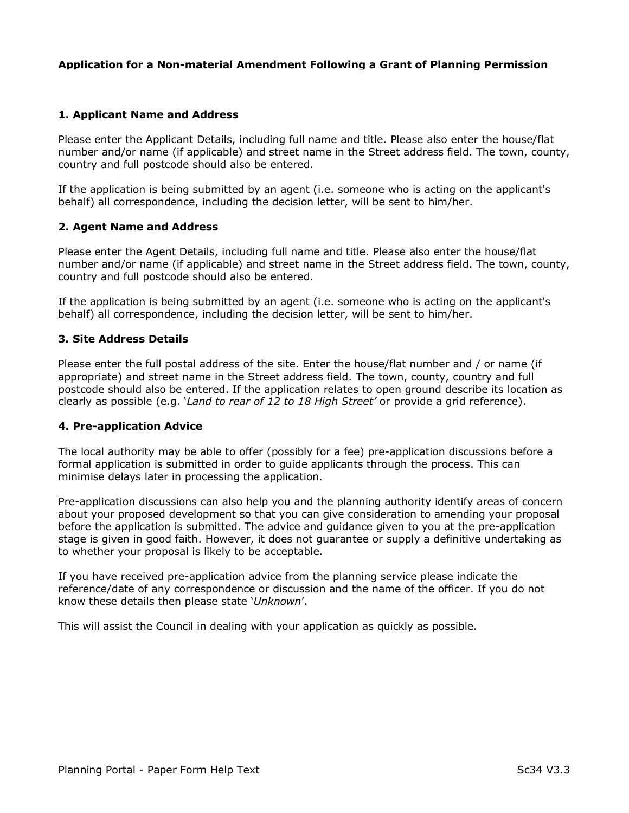### Application for a Non-material Amendment Following a Grant of Planning Permission

### 1. Applicant Name and Address

Please enter the Applicant Details, including full name and title. Please also enter the house/flat number and/or name (if applicable) and street name in the Street address field. The town, county, country and full postcode should also be entered.

If the application is being submitted by an agent (i.e. someone who is acting on the applicant's behalf) all correspondence, including the decision letter, will be sent to him/her.

#### 2. Agent Name and Address

Please enter the Agent Details, including full name and title. Please also enter the house/flat number and/or name (if applicable) and street name in the Street address field. The town, county, country and full postcode should also be entered.

If the application is being submitted by an agent (i.e. someone who is acting on the applicant's behalf) all correspondence, including the decision letter, will be sent to him/her.

#### 3. Site Address Details

Please enter the full postal address of the site. Enter the house/flat number and / or name (if appropriate) and street name in the Street address field. The town, county, country and full postcode should also be entered. If the application relates to open ground describe its location as clearly as possible (e.g. 'Land to rear of 12 to 18 High Street' or provide a grid reference).

#### 4. Pre-application Advice

The local authority may be able to offer (possibly for a fee) pre-application discussions before a formal application is submitted in order to guide applicants through the process. This can minimise delays later in processing the application.

Pre-application discussions can also help you and the planning authority identify areas of concern about your proposed development so that you can give consideration to amending your proposal before the application is submitted. The advice and guidance given to you at the pre-application stage is given in good faith. However, it does not guarantee or supply a definitive undertaking as to whether your proposal is likely to be acceptable.

If you have received pre-application advice from the planning service please indicate the reference/date of any correspondence or discussion and the name of the officer. If you do not know these details then please state 'Unknown'.

This will assist the Council in dealing with your application as quickly as possible.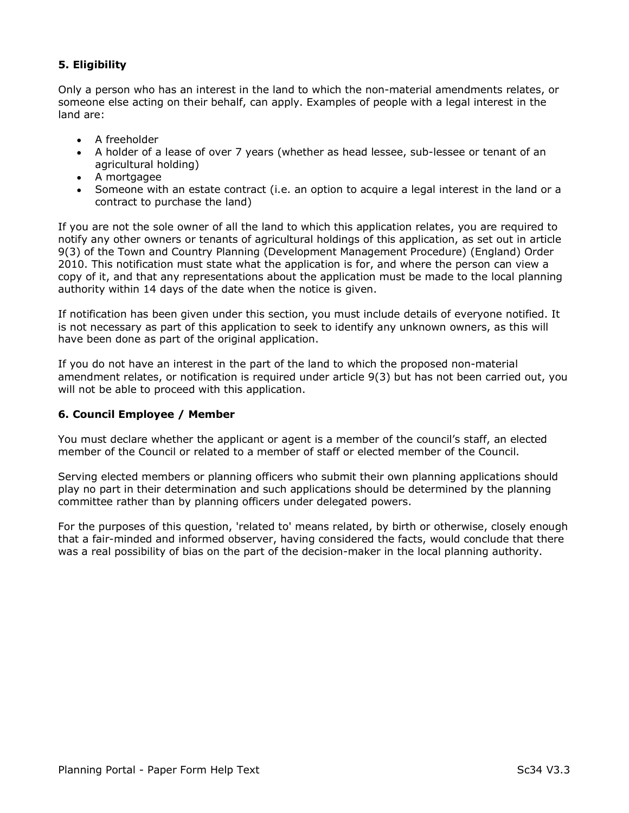# 5. Eligibility

Only a person who has an interest in the land to which the non-material amendments relates, or someone else acting on their behalf, can apply. Examples of people with a legal interest in the land are:

- A freeholder
- A holder of a lease of over 7 years (whether as head lessee, sub-lessee or tenant of an agricultural holding)
- A mortgagee
- Someone with an estate contract (i.e. an option to acquire a legal interest in the land or a contract to purchase the land)

If you are not the sole owner of all the land to which this application relates, you are required to notify any other owners or tenants of agricultural holdings of this application, as set out in article 9(3) of the Town and Country Planning (Development Management Procedure) (England) Order 2010. This notification must state what the application is for, and where the person can view a copy of it, and that any representations about the application must be made to the local planning authority within 14 days of the date when the notice is given.

If notification has been given under this section, you must include details of everyone notified. It is not necessary as part of this application to seek to identify any unknown owners, as this will have been done as part of the original application.

If you do not have an interest in the part of the land to which the proposed non-material amendment relates, or notification is required under article 9(3) but has not been carried out, you will not be able to proceed with this application.

# 6. Council Employee / Member

You must declare whether the applicant or agent is a member of the council's staff, an elected member of the Council or related to a member of staff or elected member of the Council.

Serving elected members or planning officers who submit their own planning applications should play no part in their determination and such applications should be determined by the planning committee rather than by planning officers under delegated powers.

For the purposes of this question, 'related to' means related, by birth or otherwise, closely enough that a fair-minded and informed observer, having considered the facts, would conclude that there was a real possibility of bias on the part of the decision-maker in the local planning authority.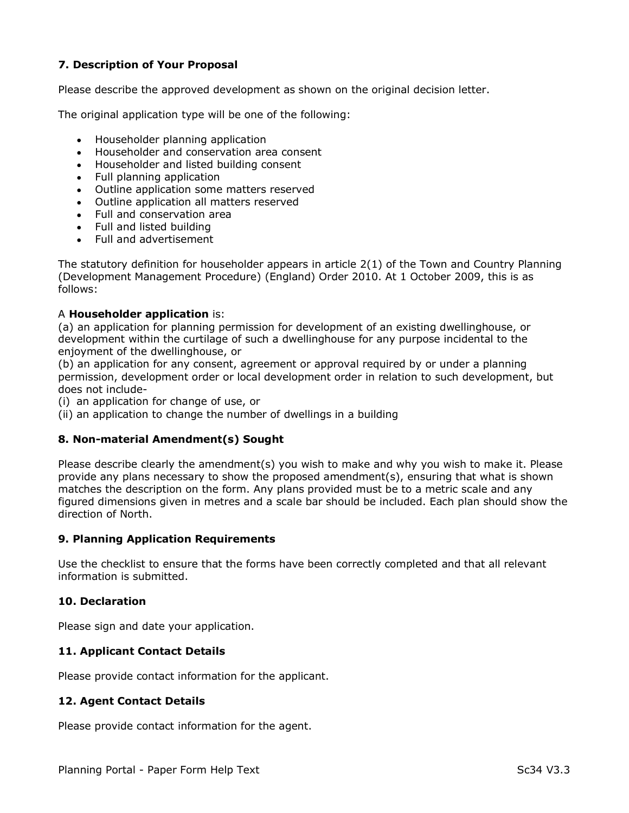# 7. Description of Your Proposal

Please describe the approved development as shown on the original decision letter.

The original application type will be one of the following:

- Householder planning application
- Householder and conservation area consent
- Householder and listed building consent
- Full planning application
- Outline application some matters reserved
- Outline application all matters reserved
- Full and conservation area
- Full and listed building
- Full and advertisement

The statutory definition for householder appears in article 2(1) of the Town and Country Planning (Development Management Procedure) (England) Order 2010. At 1 October 2009, this is as follows:

#### A Householder application is:

(a) an application for planning permission for development of an existing dwellinghouse, or development within the curtilage of such a dwellinghouse for any purpose incidental to the enjoyment of the dwellinghouse, or

(b) an application for any consent, agreement or approval required by or under a planning permission, development order or local development order in relation to such development, but does not include-

(i) an application for change of use, or

(ii) an application to change the number of dwellings in a building

#### 8. Non-material Amendment(s) Sought

Please describe clearly the amendment(s) you wish to make and why you wish to make it. Please provide any plans necessary to show the proposed amendment(s), ensuring that what is shown matches the description on the form. Any plans provided must be to a metric scale and any figured dimensions given in metres and a scale bar should be included. Each plan should show the direction of North.

#### 9. Planning Application Requirements

Use the checklist to ensure that the forms have been correctly completed and that all relevant information is submitted.

#### 10. Declaration

Please sign and date your application.

#### 11. Applicant Contact Details

Please provide contact information for the applicant.

#### 12. Agent Contact Details

Please provide contact information for the agent.